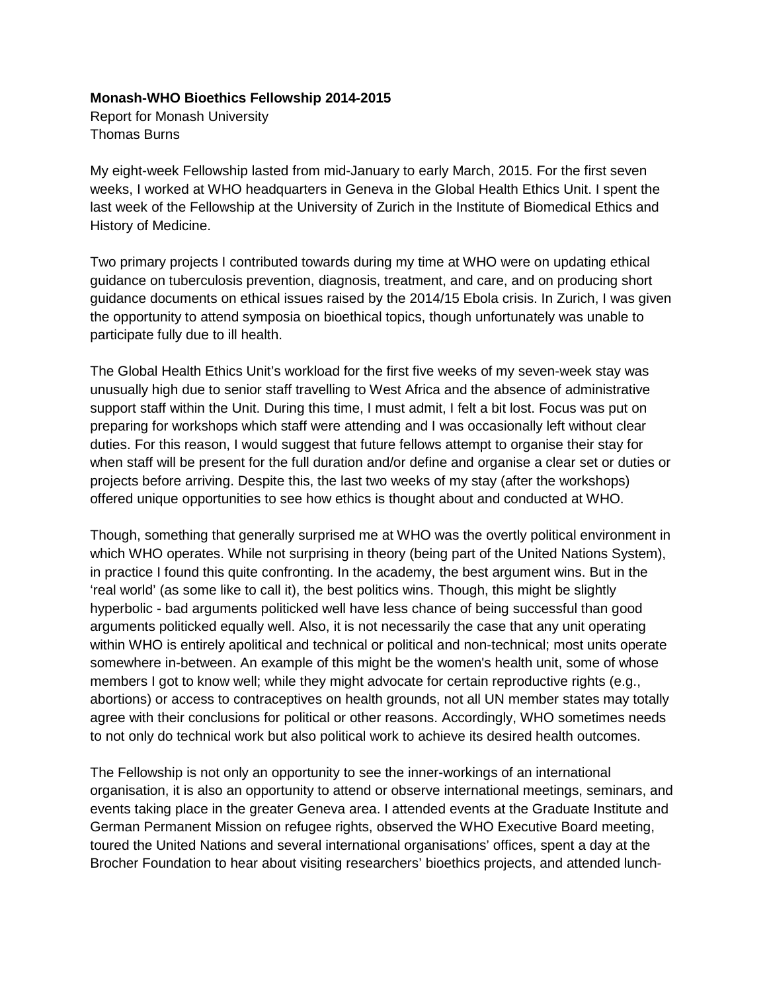## **Monash-WHO Bioethics Fellowship 2014-2015**

Report for Monash University Thomas Burns

My eight-week Fellowship lasted from mid-January to early March, 2015. For the first seven weeks, I worked at WHO headquarters in Geneva in the Global Health Ethics Unit. I spent the last week of the Fellowship at the University of Zurich in the Institute of Biomedical Ethics and History of Medicine.

Two primary projects I contributed towards during my time at WHO were on updating ethical guidance on tuberculosis prevention, diagnosis, treatment, and care, and on producing short guidance documents on ethical issues raised by the 2014/15 Ebola crisis. In Zurich, I was given the opportunity to attend symposia on bioethical topics, though unfortunately was unable to participate fully due to ill health.

The Global Health Ethics Unit's workload for the first five weeks of my seven-week stay was unusually high due to senior staff travelling to West Africa and the absence of administrative support staff within the Unit. During this time, I must admit, I felt a bit lost. Focus was put on preparing for workshops which staff were attending and I was occasionally left without clear duties. For this reason, I would suggest that future fellows attempt to organise their stay for when staff will be present for the full duration and/or define and organise a clear set or duties or projects before arriving. Despite this, the last two weeks of my stay (after the workshops) offered unique opportunities to see how ethics is thought about and conducted at WHO.

Though, something that generally surprised me at WHO was the overtly political environment in which WHO operates. While not surprising in theory (being part of the United Nations System), in practice I found this quite confronting. In the academy, the best argument wins. But in the 'real world' (as some like to call it), the best politics wins. Though, this might be slightly hyperbolic - bad arguments politicked well have less chance of being successful than good arguments politicked equally well. Also, it is not necessarily the case that any unit operating within WHO is entirely apolitical and technical or political and non-technical; most units operate somewhere in-between. An example of this might be the women's health unit, some of whose members I got to know well; while they might advocate for certain reproductive rights (e.g., abortions) or access to contraceptives on health grounds, not all UN member states may totally agree with their conclusions for political or other reasons. Accordingly, WHO sometimes needs to not only do technical work but also political work to achieve its desired health outcomes.

The Fellowship is not only an opportunity to see the inner-workings of an international organisation, it is also an opportunity to attend or observe international meetings, seminars, and events taking place in the greater Geneva area. I attended events at the Graduate Institute and German Permanent Mission on refugee rights, observed the WHO Executive Board meeting, toured the United Nations and several international organisations' offices, spent a day at the Brocher Foundation to hear about visiting researchers' bioethics projects, and attended lunch